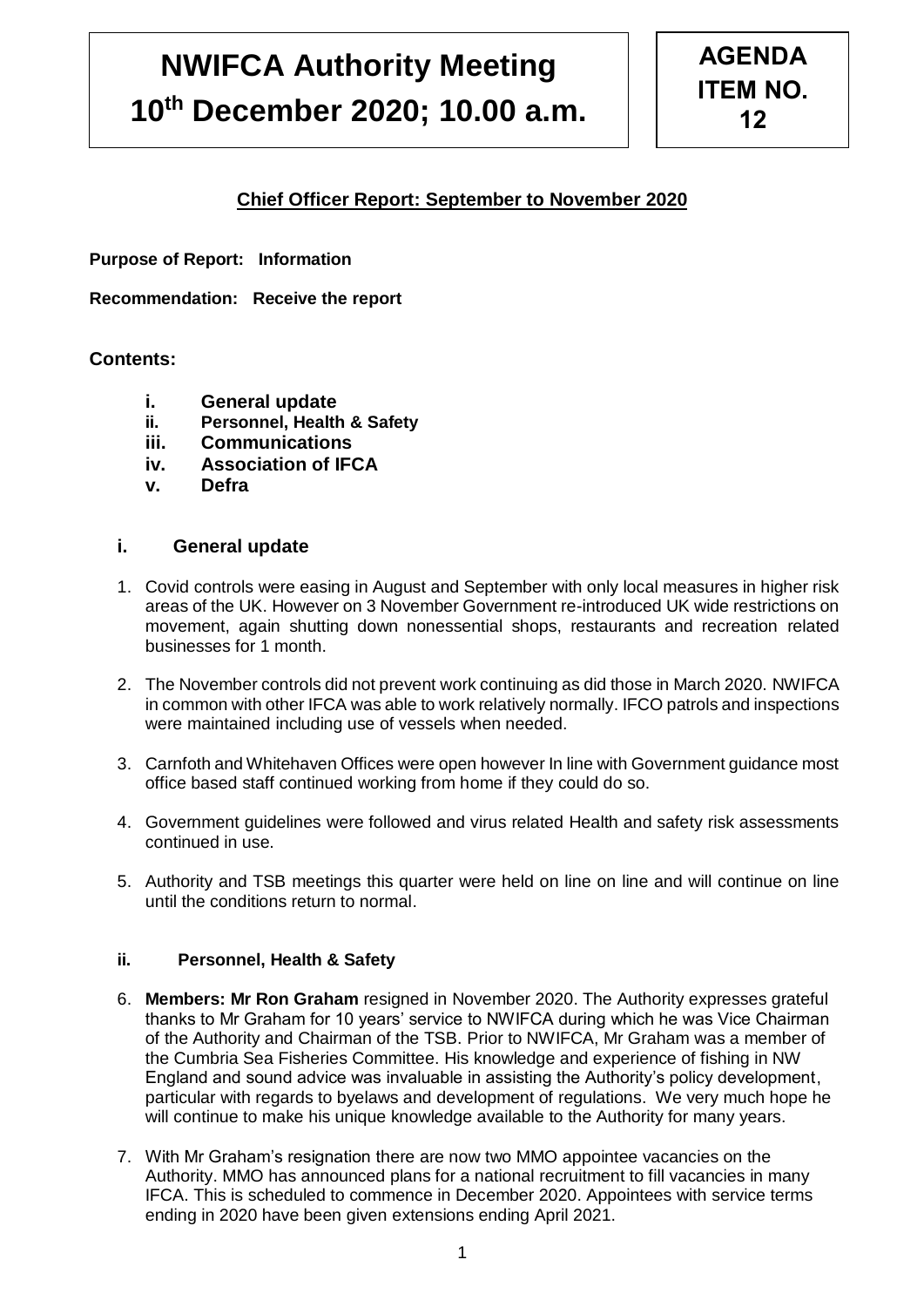# **NWIFCA Authority Meeting 10th December 2020; 10.00 a.m.**

## **Chief Officer Report: September to November 2020**

**Purpose of Report: Information** 

**Recommendation: Receive the report**

#### **Contents:**

- **i. General update**
- **ii. Personnel, Health & Safety**
- **iii. Communications**
- **iv. Association of IFCA**
- **v. Defra**

#### **i. General update**

- 1. Covid controls were easing in August and September with only local measures in higher risk areas of the UK. However on 3 November Government re-introduced UK wide restrictions on movement, again shutting down nonessential shops, restaurants and recreation related businesses for 1 month.
- 2. The November controls did not prevent work continuing as did those in March 2020. NWIFCA in common with other IFCA was able to work relatively normally. IFCO patrols and inspections were maintained including use of vessels when needed.
- 3. Carnfoth and Whitehaven Offices were open however In line with Government guidance most office based staff continued working from home if they could do so.
- 4. Government guidelines were followed and virus related Health and safety risk assessments continued in use.
- 5. Authority and TSB meetings this quarter were held on line on line and will continue on line until the conditions return to normal.

#### **ii. Personnel, Health & Safety**

- 6. **Members: Mr Ron Graham** resigned in November 2020. The Authority expresses grateful thanks to Mr Graham for 10 years' service to NWIFCA during which he was Vice Chairman of the Authority and Chairman of the TSB. Prior to NWIFCA, Mr Graham was a member of the Cumbria Sea Fisheries Committee. His knowledge and experience of fishing in NW England and sound advice was invaluable in assisting the Authority's policy development, particular with regards to byelaws and development of regulations. We very much hope he will continue to make his unique knowledge available to the Authority for many years.
- 7. With Mr Graham's resignation there are now two MMO appointee vacancies on the Authority. MMO has announced plans for a national recruitment to fill vacancies in many IFCA. This is scheduled to commence in December 2020. Appointees with service terms ending in 2020 have been given extensions ending April 2021.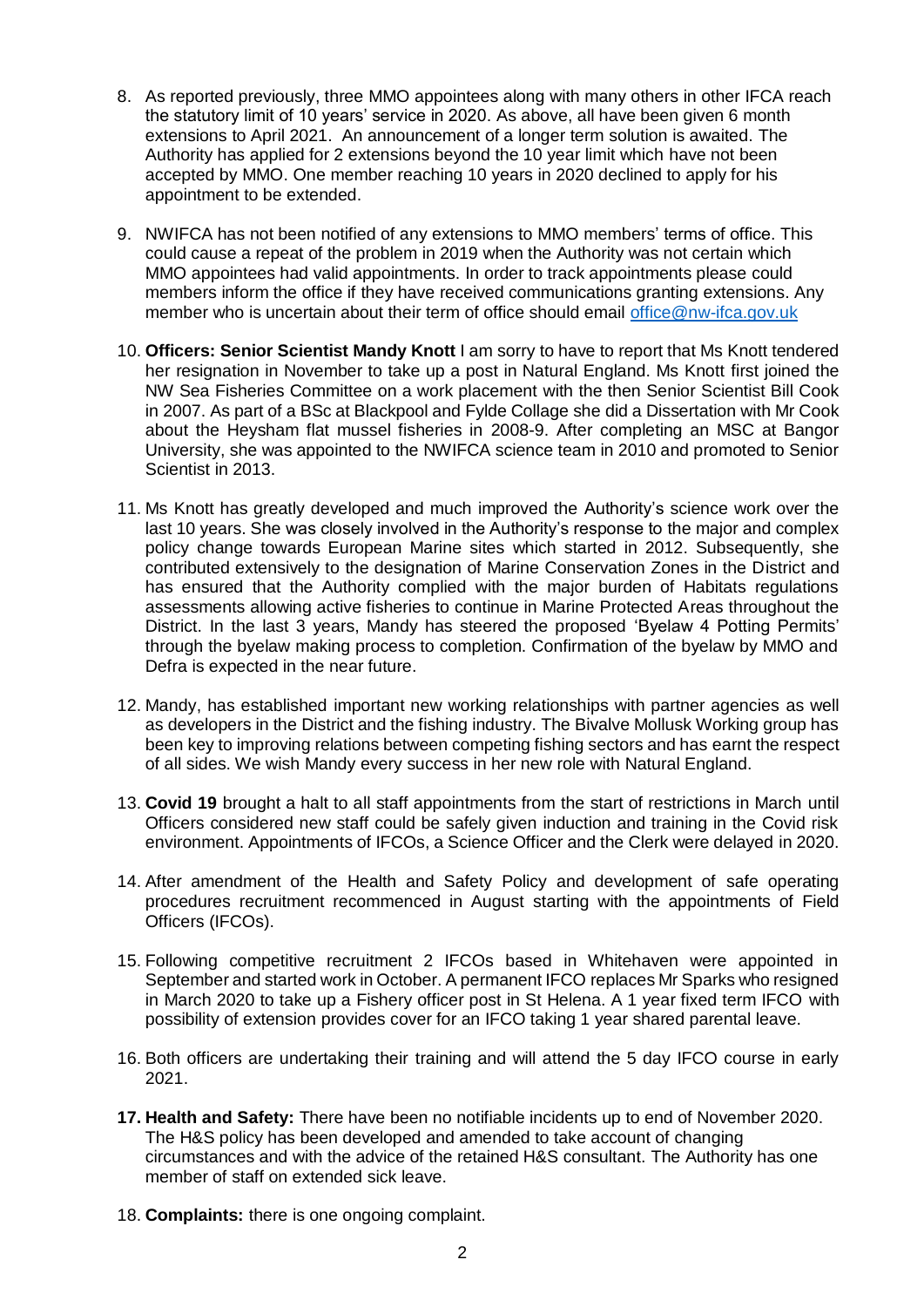- 8. As reported previously, three MMO appointees along with many others in other IFCA reach the statutory limit of 10 years' service in 2020. As above, all have been given 6 month extensions to April 2021. An announcement of a longer term solution is awaited. The Authority has applied for 2 extensions beyond the 10 year limit which have not been accepted by MMO. One member reaching 10 years in 2020 declined to apply for his appointment to be extended.
- 9. NWIFCA has not been notified of any extensions to MMO members' terms of office. This could cause a repeat of the problem in 2019 when the Authority was not certain which MMO appointees had valid appointments. In order to track appointments please could members inform the office if they have received communications granting extensions. Any member who is uncertain about their term of office should email [office@nw-ifca.gov.uk](mailto:office@nw-ifca.gov.uk)
- 10. **Officers: Senior Scientist Mandy Knott** I am sorry to have to report that Ms Knott tendered her resignation in November to take up a post in Natural England. Ms Knott first joined the NW Sea Fisheries Committee on a work placement with the then Senior Scientist Bill Cook in 2007. As part of a BSc at Blackpool and Fylde Collage she did a Dissertation with Mr Cook about the Heysham flat mussel fisheries in 2008-9. After completing an MSC at Bangor University, she was appointed to the NWIFCA science team in 2010 and promoted to Senior Scientist in 2013.
- 11. Ms Knott has greatly developed and much improved the Authority's science work over the last 10 years. She was closely involved in the Authority's response to the major and complex policy change towards European Marine sites which started in 2012. Subsequently, she contributed extensively to the designation of Marine Conservation Zones in the District and has ensured that the Authority complied with the major burden of Habitats regulations assessments allowing active fisheries to continue in Marine Protected Areas throughout the District. In the last 3 years, Mandy has steered the proposed 'Byelaw 4 Potting Permits' through the byelaw making process to completion. Confirmation of the byelaw by MMO and Defra is expected in the near future.
- 12. Mandy, has established important new working relationships with partner agencies as well as developers in the District and the fishing industry. The Bivalve Mollusk Working group has been key to improving relations between competing fishing sectors and has earnt the respect of all sides. We wish Mandy every success in her new role with Natural England.
- 13. **Covid 19** brought a halt to all staff appointments from the start of restrictions in March until Officers considered new staff could be safely given induction and training in the Covid risk environment. Appointments of IFCOs, a Science Officer and the Clerk were delayed in 2020.
- 14. After amendment of the Health and Safety Policy and development of safe operating procedures recruitment recommenced in August starting with the appointments of Field Officers (IFCOs).
- 15. Following competitive recruitment 2 IFCOs based in Whitehaven were appointed in September and started work in October. A permanent IFCO replaces Mr Sparks who resigned in March 2020 to take up a Fishery officer post in St Helena. A 1 year fixed term IFCO with possibility of extension provides cover for an IFCO taking 1 year shared parental leave.
- 16. Both officers are undertaking their training and will attend the 5 day IFCO course in early 2021.
- **17. Health and Safety:** There have been no notifiable incidents up to end of November 2020. The H&S policy has been developed and amended to take account of changing circumstances and with the advice of the retained H&S consultant. The Authority has one member of staff on extended sick leave.
- 18. **Complaints:** there is one ongoing complaint.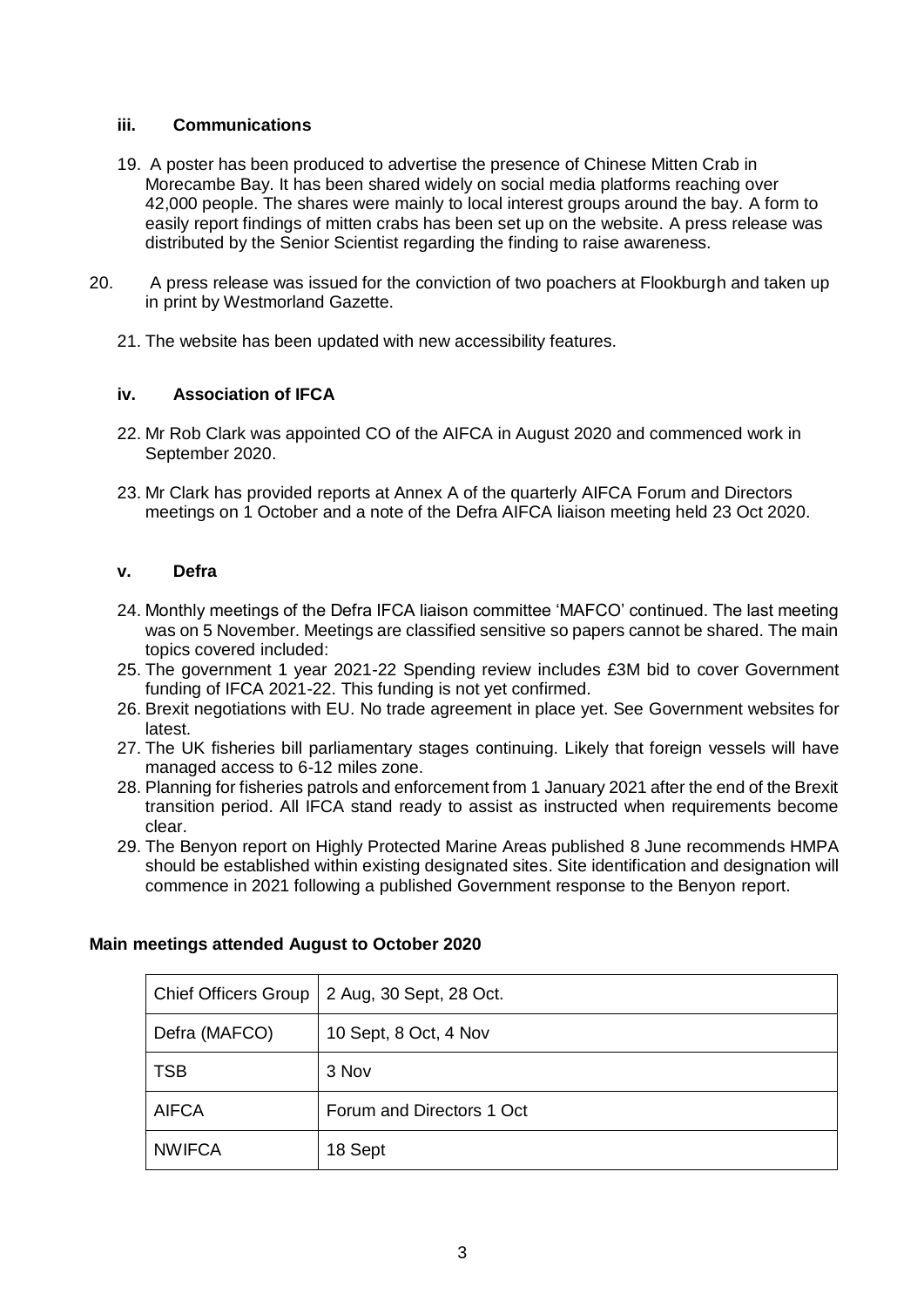#### **iii. Communications**

- 19. A poster has been produced to advertise the presence of Chinese Mitten Crab in Morecambe Bay. It has been shared widely on social media platforms reaching over 42,000 people. The shares were mainly to local interest groups around the bay. A form to easily report findings of mitten crabs has been set up on the website. A press release was distributed by the Senior Scientist regarding the finding to raise awareness.
- 20. A press release was issued for the conviction of two poachers at Flookburgh and taken up in print by Westmorland Gazette.
	- 21. The website has been updated with new accessibility features.

#### **iv. Association of IFCA**

- 22. Mr Rob Clark was appointed CO of the AIFCA in August 2020 and commenced work in September 2020.
- 23. Mr Clark has provided reports at Annex A of the quarterly AIFCA Forum and Directors meetings on 1 October and a note of the Defra AIFCA liaison meeting held 23 Oct 2020.

#### **v. Defra**

- 24. Monthly meetings of the Defra IFCA liaison committee 'MAFCO' continued. The last meeting was on 5 November. Meetings are classified sensitive so papers cannot be shared. The main topics covered included:
- 25. The government 1 year 2021-22 Spending review includes £3M bid to cover Government funding of IFCA 2021-22. This funding is not yet confirmed.
- 26. Brexit negotiations with EU. No trade agreement in place yet. See Government websites for latest.
- 27. The UK fisheries bill parliamentary stages continuing. Likely that foreign vessels will have managed access to 6-12 miles zone.
- 28. Planning for fisheries patrols and enforcement from 1 January 2021 after the end of the Brexit transition period. All IFCA stand ready to assist as instructed when requirements become clear.
- 29. The Benyon report on Highly Protected Marine Areas published 8 June recommends HMPA should be established within existing designated sites. Site identification and designation will commence in 2021 following a published Government response to the Benyon report.

| Chief Officers Group | 2 Aug, 30 Sept, 28 Oct.   |
|----------------------|---------------------------|
| Defra (MAFCO)        | 10 Sept, 8 Oct, 4 Nov     |
| <b>TSB</b>           | 3 Nov                     |
| <b>AIFCA</b>         | Forum and Directors 1 Oct |
| <b>NWIFCA</b>        | 18 Sept                   |

#### **Main meetings attended August to October 2020**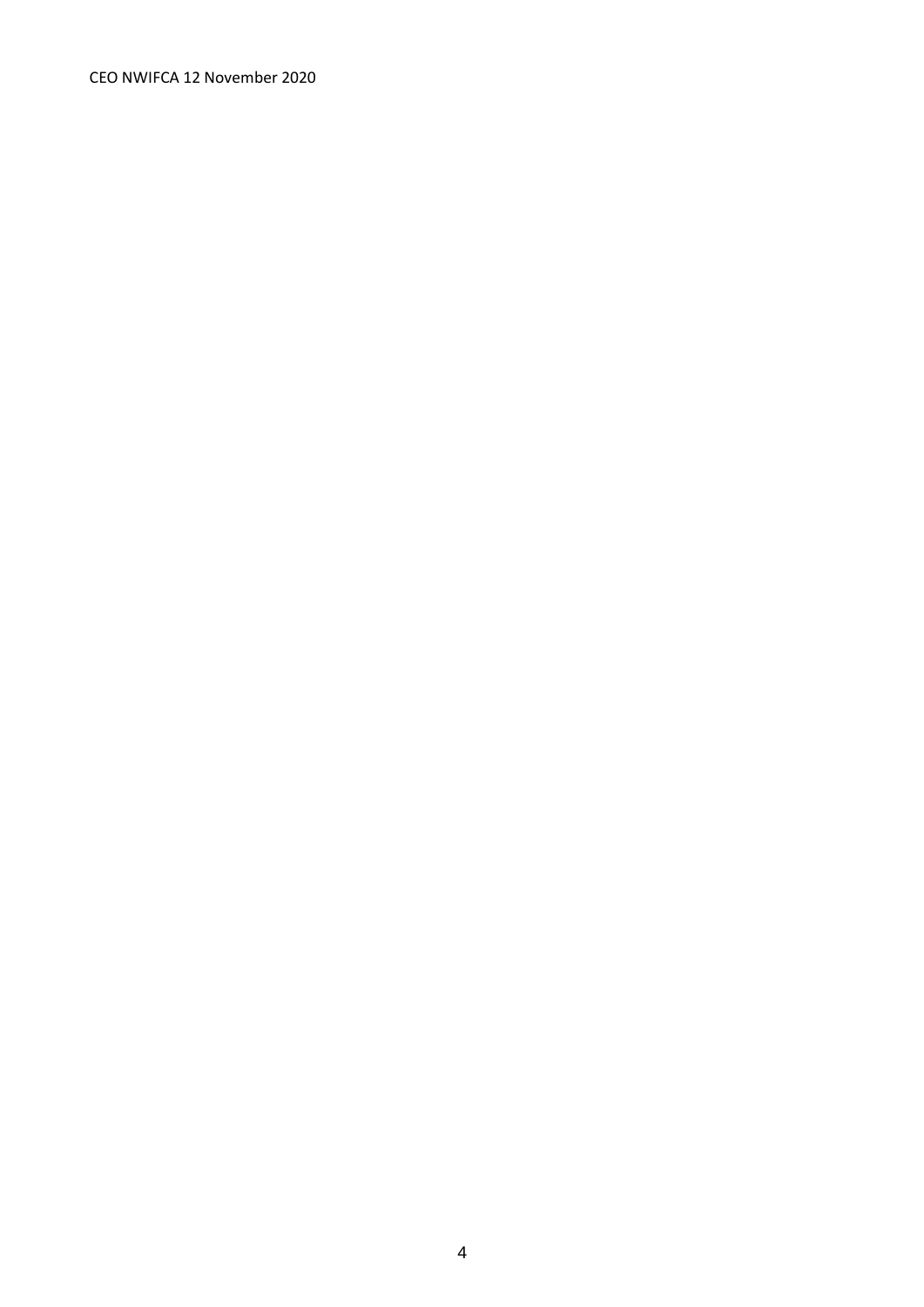CEO NWIFCA 12 November 2020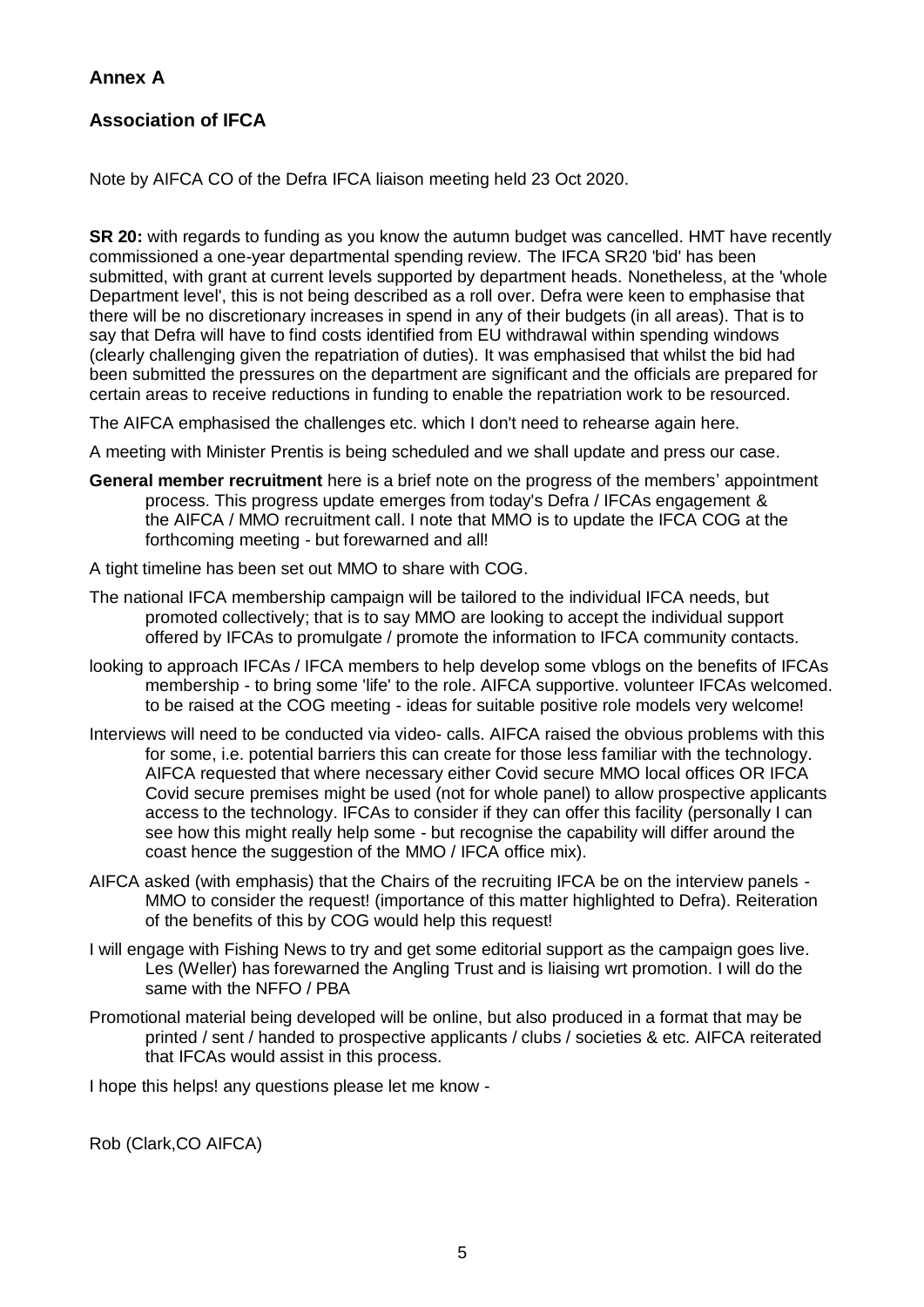## **Annex A**

## **Association of IFCA**

Note by AIFCA CO of the Defra IFCA liaison meeting held 23 Oct 2020.

**SR 20:** with regards to funding as you know the autumn budget was cancelled. HMT have recently commissioned a one-year departmental spending review. The IFCA SR20 'bid' has been submitted, with grant at current levels supported by department heads. Nonetheless, at the 'whole Department level', this is not being described as a roll over. Defra were keen to emphasise that there will be no discretionary increases in spend in any of their budgets (in all areas). That is to say that Defra will have to find costs identified from EU withdrawal within spending windows (clearly challenging given the repatriation of duties). It was emphasised that whilst the bid had been submitted the pressures on the department are significant and the officials are prepared for certain areas to receive reductions in funding to enable the repatriation work to be resourced.

The AIFCA emphasised the challenges etc. which I don't need to rehearse again here.

A meeting with Minister Prentis is being scheduled and we shall update and press our case.

- **General member recruitment** here is a brief note on the progress of the members' appointment process. This progress update emerges from today's Defra / IFCAs engagement & the AIFCA / MMO recruitment call. I note that MMO is to update the IFCA COG at the forthcoming meeting - but forewarned and all!
- A tight timeline has been set out MMO to share with COG.
- The national IFCA membership campaign will be tailored to the individual IFCA needs, but promoted collectively; that is to say MMO are looking to accept the individual support offered by IFCAs to promulgate / promote the information to IFCA community contacts.
- looking to approach IFCAs / IFCA members to help develop some vblogs on the benefits of IFCAs membership - to bring some 'life' to the role. AIFCA supportive. volunteer IFCAs welcomed. to be raised at the COG meeting - ideas for suitable positive role models very welcome!
- Interviews will need to be conducted via video- calls. AIFCA raised the obvious problems with this for some, i.e. potential barriers this can create for those less familiar with the technology. AIFCA requested that where necessary either Covid secure MMO local offices OR IFCA Covid secure premises might be used (not for whole panel) to allow prospective applicants access to the technology. IFCAs to consider if they can offer this facility (personally I can see how this might really help some - but recognise the capability will differ around the coast hence the suggestion of the MMO / IFCA office mix).
- AIFCA asked (with emphasis) that the Chairs of the recruiting IFCA be on the interview panels MMO to consider the request! (importance of this matter highlighted to Defra). Reiteration of the benefits of this by COG would help this request!
- I will engage with Fishing News to try and get some editorial support as the campaign goes live. Les (Weller) has forewarned the Angling Trust and is liaising wrt promotion. I will do the same with the NFFO / PBA
- Promotional material being developed will be online, but also produced in a format that may be printed / sent / handed to prospective applicants / clubs / societies & etc. AIFCA reiterated that IFCAs would assist in this process.

I hope this helps! any questions please let me know -

Rob (Clark,CO AIFCA)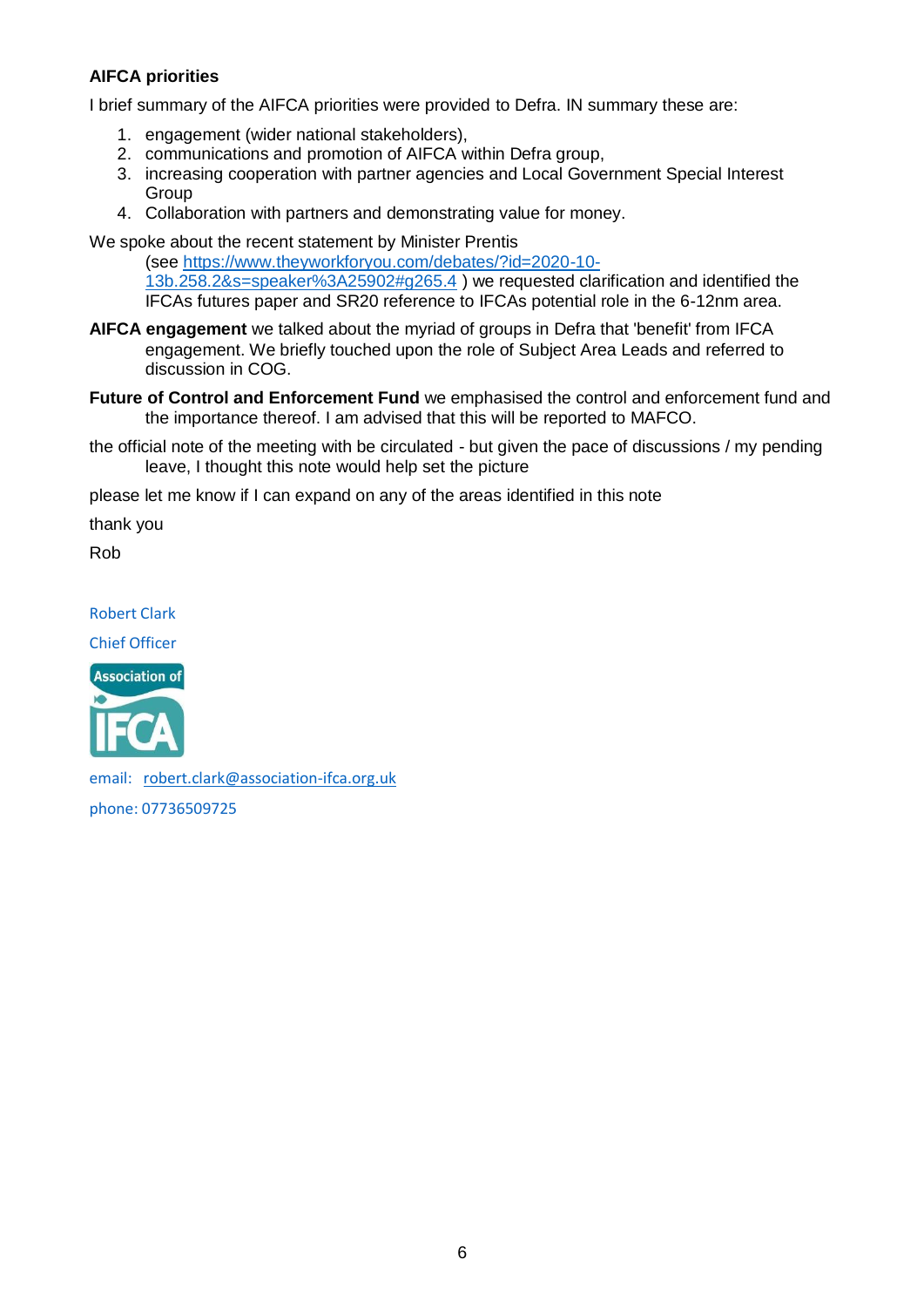## **AIFCA priorities**

I brief summary of the AIFCA priorities were provided to Defra. IN summary these are:

- 1. engagement (wider national stakeholders),
- 2. communications and promotion of AIFCA within Defra group,
- 3. increasing cooperation with partner agencies and Local Government Special Interest **Group**
- 4. Collaboration with partners and demonstrating value for money.

We spoke about the recent statement by Minister Prentis

(see [https://www.theyworkforyou.com/debates/?id=2020-10-](https://www.theyworkforyou.com/debates/?id=2020-10-13b.258.2&s=speaker%3A25902#g265.4) [13b.258.2&s=speaker%3A25902#g265.4](https://www.theyworkforyou.com/debates/?id=2020-10-13b.258.2&s=speaker%3A25902#g265.4) ) we requested clarification and identified the IFCAs futures paper and SR20 reference to IFCAs potential role in the 6-12nm area.

- **AIFCA engagement** we talked about the myriad of groups in Defra that 'benefit' from IFCA engagement. We briefly touched upon the role of Subject Area Leads and referred to discussion in COG.
- **Future of Control and Enforcement Fund** we emphasised the control and enforcement fund and the importance thereof. I am advised that this will be reported to MAFCO.
- the official note of the meeting with be circulated but given the pace of discussions / my pending leave, I thought this note would help set the picture

please let me know if I can expand on any of the areas identified in this note

thank you

Rob

Robert Clark

Chief Officer



email: [robert.clark@association-ifca.org.uk](mailto:robert.clark@association-ifca.org.uk)

phone: 07736509725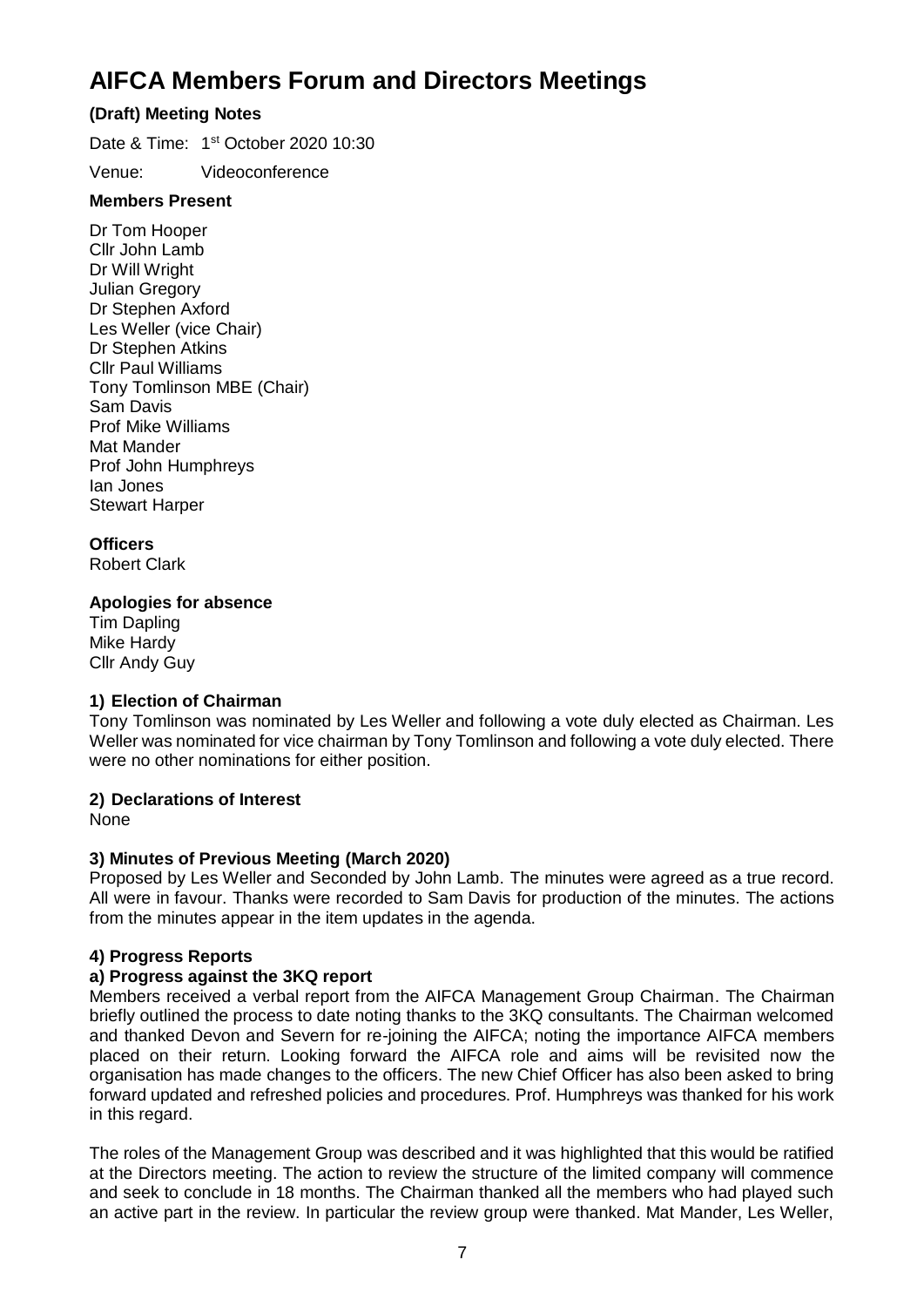## **AIFCA Members Forum and Directors Meetings**

## **(Draft) Meeting Notes**

Date & Time: 1<sup>st</sup> October 2020 10:30

Venue: Videoconference

## **Members Present**

Dr Tom Hooper Cllr John Lamb Dr Will Wright Julian Gregory Dr Stephen Axford Les Weller (vice Chair) Dr Stephen Atkins Cllr Paul Williams Tony Tomlinson MBE (Chair) Sam Davis Prof Mike Williams Mat Mander Prof John Humphreys Ian Jones Stewart Harper

## **Officers**

Robert Clark

#### **Apologies for absence**

Tim Dapling Mike Hardy Cllr Andy Guy

## **1) Election of Chairman**

Tony Tomlinson was nominated by Les Weller and following a vote duly elected as Chairman. Les Weller was nominated for vice chairman by Tony Tomlinson and following a vote duly elected. There were no other nominations for either position.

## **2) Declarations of Interest**

None

## **3) Minutes of Previous Meeting (March 2020)**

Proposed by Les Weller and Seconded by John Lamb. The minutes were agreed as a true record. All were in favour. Thanks were recorded to Sam Davis for production of the minutes. The actions from the minutes appear in the item updates in the agenda.

## **4) Progress Reports**

#### **a) Progress against the 3KQ report**

Members received a verbal report from the AIFCA Management Group Chairman. The Chairman briefly outlined the process to date noting thanks to the 3KQ consultants. The Chairman welcomed and thanked Devon and Severn for re-joining the AIFCA; noting the importance AIFCA members placed on their return. Looking forward the AIFCA role and aims will be revisited now the organisation has made changes to the officers. The new Chief Officer has also been asked to bring forward updated and refreshed policies and procedures. Prof. Humphreys was thanked for his work in this regard.

The roles of the Management Group was described and it was highlighted that this would be ratified at the Directors meeting. The action to review the structure of the limited company will commence and seek to conclude in 18 months. The Chairman thanked all the members who had played such an active part in the review. In particular the review group were thanked. Mat Mander, Les Weller,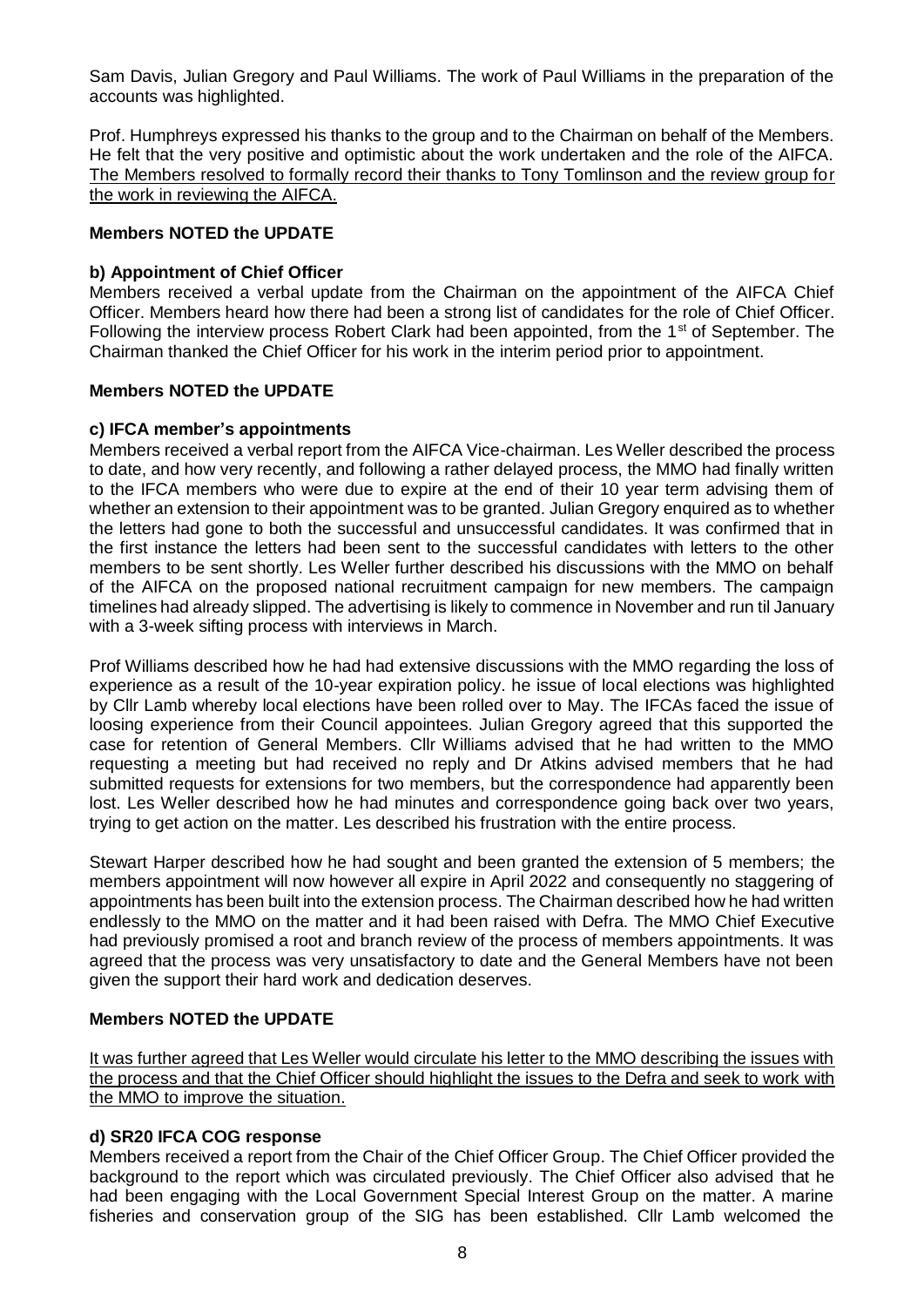Sam Davis, Julian Gregory and Paul Williams. The work of Paul Williams in the preparation of the accounts was highlighted.

Prof. Humphreys expressed his thanks to the group and to the Chairman on behalf of the Members. He felt that the very positive and optimistic about the work undertaken and the role of the AIFCA. The Members resolved to formally record their thanks to Tony Tomlinson and the review group for the work in reviewing the AIFCA.

#### **Members NOTED the UPDATE**

#### **b) Appointment of Chief Officer**

Members received a verbal update from the Chairman on the appointment of the AIFCA Chief Officer. Members heard how there had been a strong list of candidates for the role of Chief Officer. Following the interview process Robert Clark had been appointed, from the 1<sup>st</sup> of September. The Chairman thanked the Chief Officer for his work in the interim period prior to appointment.

#### **Members NOTED the UPDATE**

#### **c) IFCA member's appointments**

Members received a verbal report from the AIFCA Vice-chairman. Les Weller described the process to date, and how very recently, and following a rather delayed process, the MMO had finally written to the IFCA members who were due to expire at the end of their 10 year term advising them of whether an extension to their appointment was to be granted. Julian Gregory enquired as to whether the letters had gone to both the successful and unsuccessful candidates. It was confirmed that in the first instance the letters had been sent to the successful candidates with letters to the other members to be sent shortly. Les Weller further described his discussions with the MMO on behalf of the AIFCA on the proposed national recruitment campaign for new members. The campaign timelines had already slipped. The advertising is likely to commence in November and run til January with a 3-week sifting process with interviews in March.

Prof Williams described how he had had extensive discussions with the MMO regarding the loss of experience as a result of the 10-year expiration policy. he issue of local elections was highlighted by Cllr Lamb whereby local elections have been rolled over to May. The IFCAs faced the issue of loosing experience from their Council appointees. Julian Gregory agreed that this supported the case for retention of General Members. Cllr Williams advised that he had written to the MMO requesting a meeting but had received no reply and Dr Atkins advised members that he had submitted requests for extensions for two members, but the correspondence had apparently been lost. Les Weller described how he had minutes and correspondence going back over two years, trying to get action on the matter. Les described his frustration with the entire process.

Stewart Harper described how he had sought and been granted the extension of 5 members; the members appointment will now however all expire in April 2022 and consequently no staggering of appointments has been built into the extension process. The Chairman described how he had written endlessly to the MMO on the matter and it had been raised with Defra. The MMO Chief Executive had previously promised a root and branch review of the process of members appointments. It was agreed that the process was very unsatisfactory to date and the General Members have not been given the support their hard work and dedication deserves.

#### **Members NOTED the UPDATE**

It was further agreed that Les Weller would circulate his letter to the MMO describing the issues with the process and that the Chief Officer should highlight the issues to the Defra and seek to work with the MMO to improve the situation.

#### **d) SR20 IFCA COG response**

Members received a report from the Chair of the Chief Officer Group. The Chief Officer provided the background to the report which was circulated previously. The Chief Officer also advised that he had been engaging with the Local Government Special Interest Group on the matter. A marine fisheries and conservation group of the SIG has been established. Cllr Lamb welcomed the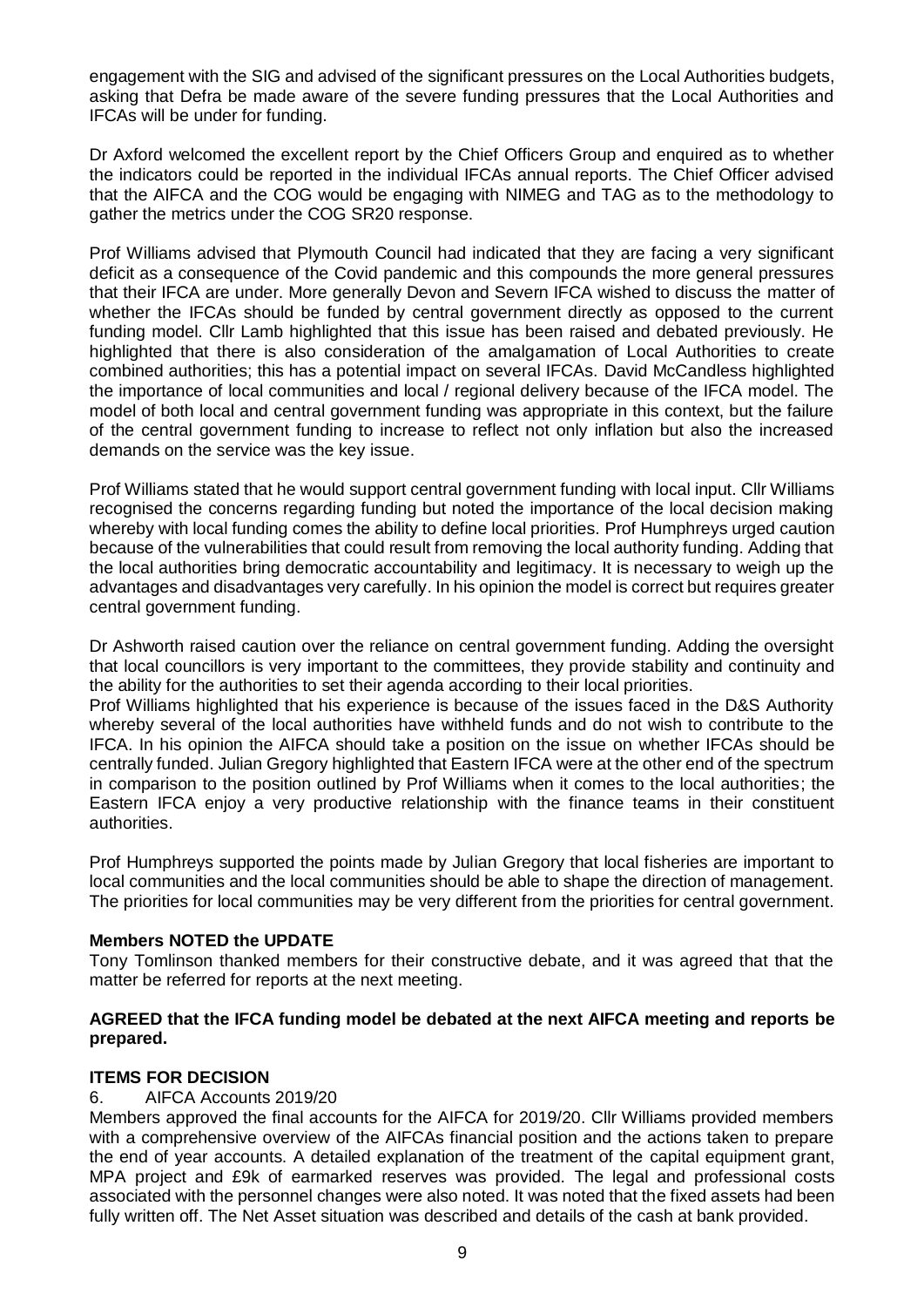engagement with the SIG and advised of the significant pressures on the Local Authorities budgets, asking that Defra be made aware of the severe funding pressures that the Local Authorities and IFCAs will be under for funding.

Dr Axford welcomed the excellent report by the Chief Officers Group and enquired as to whether the indicators could be reported in the individual IFCAs annual reports. The Chief Officer advised that the AIFCA and the COG would be engaging with NIMEG and TAG as to the methodology to gather the metrics under the COG SR20 response.

Prof Williams advised that Plymouth Council had indicated that they are facing a very significant deficit as a consequence of the Covid pandemic and this compounds the more general pressures that their IFCA are under. More generally Devon and Severn IFCA wished to discuss the matter of whether the IFCAs should be funded by central government directly as opposed to the current funding model. Cllr Lamb highlighted that this issue has been raised and debated previously. He highlighted that there is also consideration of the amalgamation of Local Authorities to create combined authorities; this has a potential impact on several IFCAs. David McCandless highlighted the importance of local communities and local / regional delivery because of the IFCA model. The model of both local and central government funding was appropriate in this context, but the failure of the central government funding to increase to reflect not only inflation but also the increased demands on the service was the key issue.

Prof Williams stated that he would support central government funding with local input. Cllr Williams recognised the concerns regarding funding but noted the importance of the local decision making whereby with local funding comes the ability to define local priorities. Prof Humphreys urged caution because of the vulnerabilities that could result from removing the local authority funding. Adding that the local authorities bring democratic accountability and legitimacy. It is necessary to weigh up the advantages and disadvantages very carefully. In his opinion the model is correct but requires greater central government funding.

Dr Ashworth raised caution over the reliance on central government funding. Adding the oversight that local councillors is very important to the committees, they provide stability and continuity and the ability for the authorities to set their agenda according to their local priorities.

Prof Williams highlighted that his experience is because of the issues faced in the D&S Authority whereby several of the local authorities have withheld funds and do not wish to contribute to the IFCA. In his opinion the AIFCA should take a position on the issue on whether IFCAs should be centrally funded. Julian Gregory highlighted that Eastern IFCA were at the other end of the spectrum in comparison to the position outlined by Prof Williams when it comes to the local authorities; the Eastern IFCA enjoy a very productive relationship with the finance teams in their constituent authorities.

Prof Humphreys supported the points made by Julian Gregory that local fisheries are important to local communities and the local communities should be able to shape the direction of management. The priorities for local communities may be very different from the priorities for central government.

#### **Members NOTED the UPDATE**

Tony Tomlinson thanked members for their constructive debate, and it was agreed that that the matter be referred for reports at the next meeting.

#### **AGREED that the IFCA funding model be debated at the next AIFCA meeting and reports be prepared.**

#### **ITEMS FOR DECISION**

#### 6. AIFCA Accounts 2019/20

Members approved the final accounts for the AIFCA for 2019/20. Cllr Williams provided members with a comprehensive overview of the AIFCAs financial position and the actions taken to prepare the end of year accounts. A detailed explanation of the treatment of the capital equipment grant, MPA project and £9k of earmarked reserves was provided. The legal and professional costs associated with the personnel changes were also noted. It was noted that the fixed assets had been fully written off. The Net Asset situation was described and details of the cash at bank provided.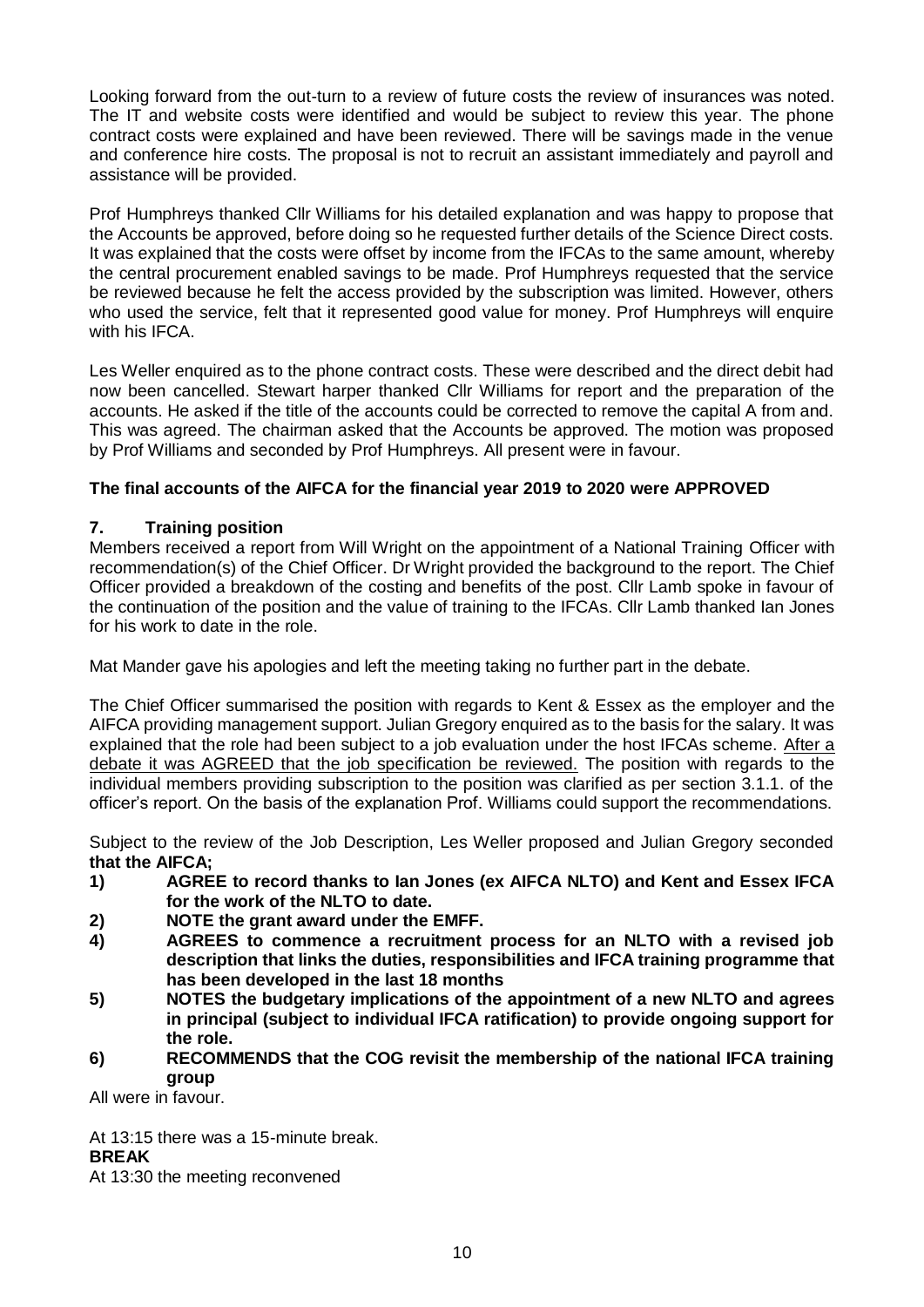Looking forward from the out-turn to a review of future costs the review of insurances was noted. The IT and website costs were identified and would be subject to review this year. The phone contract costs were explained and have been reviewed. There will be savings made in the venue and conference hire costs. The proposal is not to recruit an assistant immediately and payroll and assistance will be provided.

Prof Humphreys thanked Cllr Williams for his detailed explanation and was happy to propose that the Accounts be approved, before doing so he requested further details of the Science Direct costs. It was explained that the costs were offset by income from the IFCAs to the same amount, whereby the central procurement enabled savings to be made. Prof Humphreys requested that the service be reviewed because he felt the access provided by the subscription was limited. However, others who used the service, felt that it represented good value for money. Prof Humphreys will enquire with his IFCA.

Les Weller enquired as to the phone contract costs. These were described and the direct debit had now been cancelled. Stewart harper thanked Cllr Williams for report and the preparation of the accounts. He asked if the title of the accounts could be corrected to remove the capital A from and. This was agreed. The chairman asked that the Accounts be approved. The motion was proposed by Prof Williams and seconded by Prof Humphreys. All present were in favour.

## **The final accounts of the AIFCA for the financial year 2019 to 2020 were APPROVED**

#### **7. Training position**

Members received a report from Will Wright on the appointment of a National Training Officer with recommendation(s) of the Chief Officer. Dr Wright provided the background to the report. The Chief Officer provided a breakdown of the costing and benefits of the post. Cllr Lamb spoke in favour of the continuation of the position and the value of training to the IFCAs. Cllr Lamb thanked Ian Jones for his work to date in the role.

Mat Mander gave his apologies and left the meeting taking no further part in the debate.

The Chief Officer summarised the position with regards to Kent & Essex as the employer and the AIFCA providing management support. Julian Gregory enquired as to the basis for the salary. It was explained that the role had been subject to a job evaluation under the host IFCAs scheme. After a debate it was AGREED that the job specification be reviewed. The position with regards to the individual members providing subscription to the position was clarified as per section 3.1.1. of the officer's report. On the basis of the explanation Prof. Williams could support the recommendations.

Subject to the review of the Job Description, Les Weller proposed and Julian Gregory seconded **that the AIFCA;**

- **1) AGREE to record thanks to Ian Jones (ex AIFCA NLTO) and Kent and Essex IFCA for the work of the NLTO to date.**
- **2) NOTE the grant award under the EMFF.**
- **4) AGREES to commence a recruitment process for an NLTO with a revised job description that links the duties, responsibilities and IFCA training programme that has been developed in the last 18 months**
- **5) NOTES the budgetary implications of the appointment of a new NLTO and agrees in principal (subject to individual IFCA ratification) to provide ongoing support for the role.**
- **6) RECOMMENDS that the COG revisit the membership of the national IFCA training group**

All were in favour.

At 13:15 there was a 15-minute break. **BREAK**  At 13:30 the meeting reconvened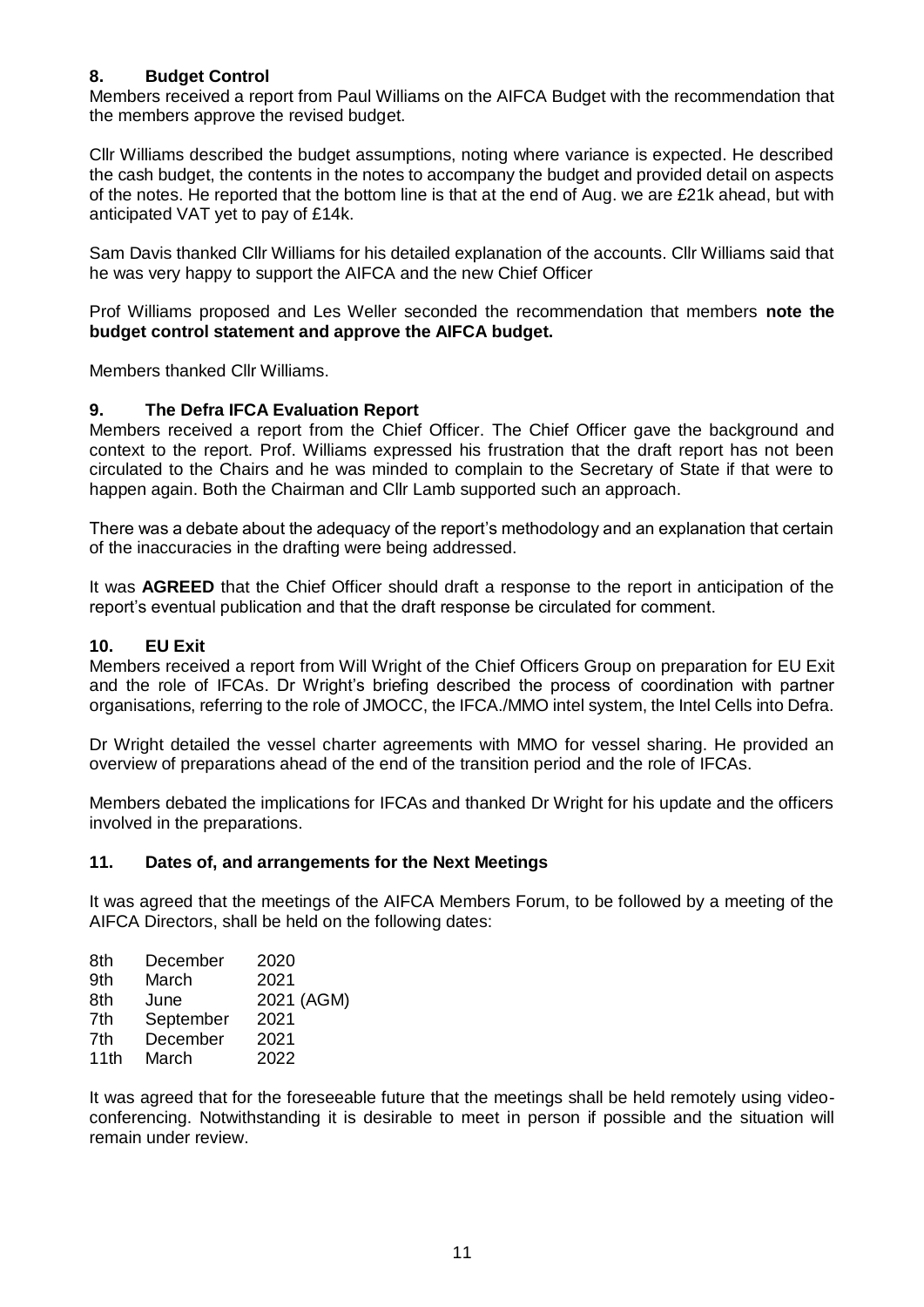#### **8. Budget Control**

Members received a report from Paul Williams on the AIFCA Budget with the recommendation that the members approve the revised budget.

Cllr Williams described the budget assumptions, noting where variance is expected. He described the cash budget, the contents in the notes to accompany the budget and provided detail on aspects of the notes. He reported that the bottom line is that at the end of Aug. we are £21k ahead, but with anticipated VAT yet to pay of £14k.

Sam Davis thanked Cllr Williams for his detailed explanation of the accounts. Cllr Williams said that he was very happy to support the AIFCA and the new Chief Officer

Prof Williams proposed and Les Weller seconded the recommendation that members **note the budget control statement and approve the AIFCA budget.**

Members thanked Cllr Williams.

#### **9. The Defra IFCA Evaluation Report**

Members received a report from the Chief Officer. The Chief Officer gave the background and context to the report. Prof. Williams expressed his frustration that the draft report has not been circulated to the Chairs and he was minded to complain to the Secretary of State if that were to happen again. Both the Chairman and Cllr Lamb supported such an approach.

There was a debate about the adequacy of the report's methodology and an explanation that certain of the inaccuracies in the drafting were being addressed.

It was **AGREED** that the Chief Officer should draft a response to the report in anticipation of the report's eventual publication and that the draft response be circulated for comment.

#### **10. EU Exit**

Members received a report from Will Wright of the Chief Officers Group on preparation for EU Exit and the role of IFCAs. Dr Wright's briefing described the process of coordination with partner organisations, referring to the role of JMOCC, the IFCA./MMO intel system, the Intel Cells into Defra.

Dr Wright detailed the vessel charter agreements with MMO for vessel sharing. He provided an overview of preparations ahead of the end of the transition period and the role of IFCAs.

Members debated the implications for IFCAs and thanked Dr Wright for his update and the officers involved in the preparations.

#### **11. Dates of, and arrangements for the Next Meetings**

It was agreed that the meetings of the AIFCA Members Forum, to be followed by a meeting of the AIFCA Directors, shall be held on the following dates:

| 8th  | December  | 2020       |
|------|-----------|------------|
| 9th  | March     | 2021       |
| 8th  | June      | 2021 (AGM) |
| 7th  | September | 2021       |
| 7th  | December  | 2021       |
| 11th | March     | 2022       |

It was agreed that for the foreseeable future that the meetings shall be held remotely using videoconferencing. Notwithstanding it is desirable to meet in person if possible and the situation will remain under review.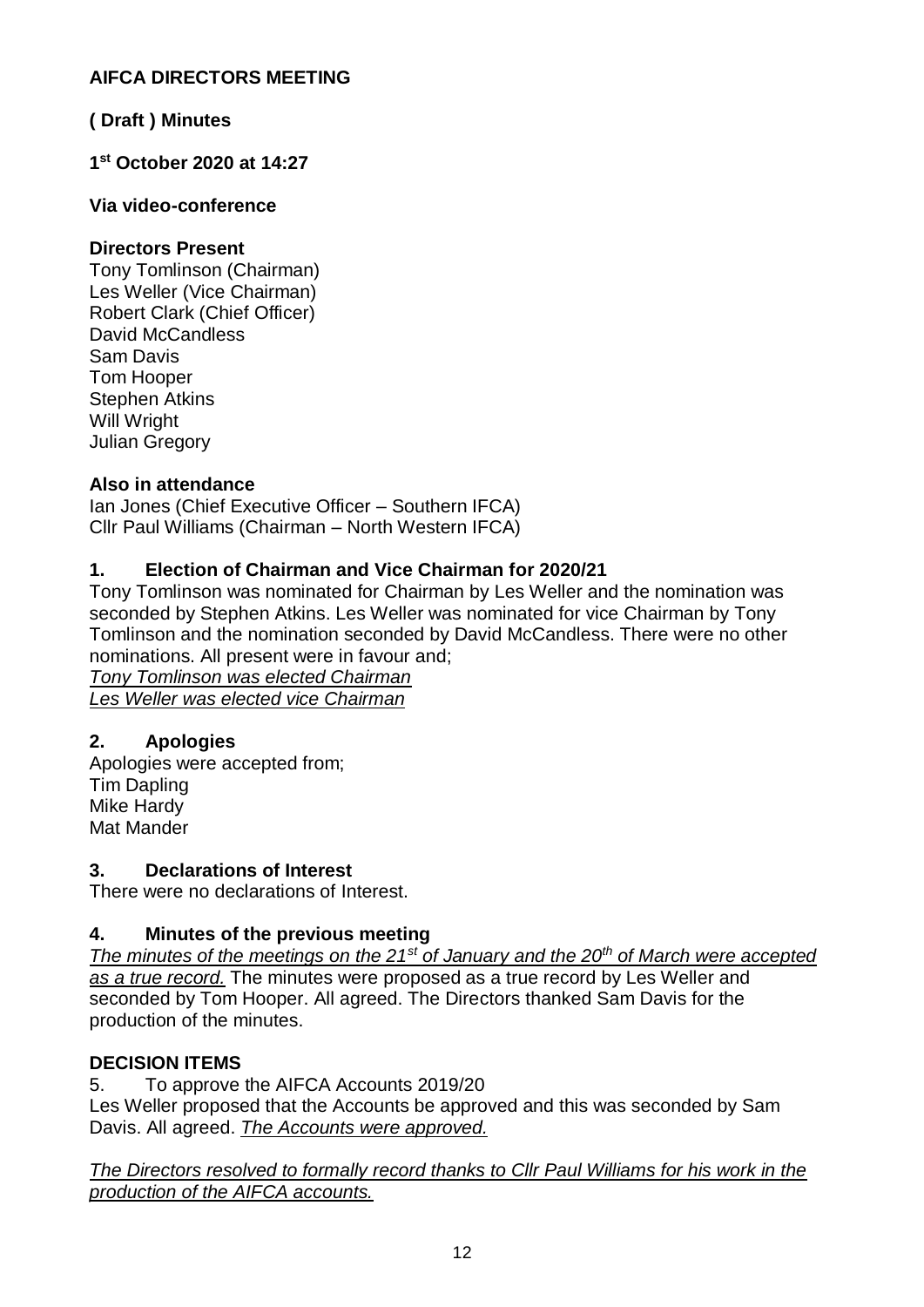## **AIFCA DIRECTORS MEETING**

## **( Draft ) Minutes**

## **1 st October 2020 at 14:27**

## **Via video-conference**

## **Directors Present**

Tony Tomlinson (Chairman) Les Weller (Vice Chairman) Robert Clark (Chief Officer) David McCandless Sam Davis Tom Hooper Stephen Atkins Will Wright Julian Gregory

## **Also in attendance**

Ian Jones (Chief Executive Officer – Southern IFCA) Cllr Paul Williams (Chairman – North Western IFCA)

## **1. Election of Chairman and Vice Chairman for 2020/21**

Tony Tomlinson was nominated for Chairman by Les Weller and the nomination was seconded by Stephen Atkins. Les Weller was nominated for vice Chairman by Tony Tomlinson and the nomination seconded by David McCandless. There were no other nominations. All present were in favour and;

*Tony Tomlinson was elected Chairman Les Weller was elected vice Chairman*

## **2. Apologies**

Apologies were accepted from; Tim Dapling Mike Hardy Mat Mander

## **3. Declarations of Interest**

There were no declarations of Interest.

## **4. Minutes of the previous meeting**

*The minutes of the meetings on the 21st of January and the 20th of March were accepted as a true record.* The minutes were proposed as a true record by Les Weller and seconded by Tom Hooper. All agreed. The Directors thanked Sam Davis for the production of the minutes.

## **DECISION ITEMS**

5. To approve the AIFCA Accounts 2019/20 Les Weller proposed that the Accounts be approved and this was seconded by Sam Davis. All agreed. *The Accounts were approved.*

*The Directors resolved to formally record thanks to Cllr Paul Williams for his work in the production of the AIFCA accounts.*